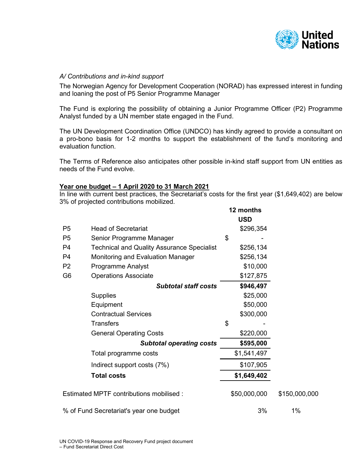

### *A/ Contributions and in-kind support*

The Norwegian Agency for Development Cooperation (NORAD) has expressed interest in funding and loaning the post of P5 Senior Programme Manager

The Fund is exploring the possibility of obtaining a Junior Programme Officer (P2) Programme Analyst funded by a UN member state engaged in the Fund.

The UN Development Coordination Office (UNDCO) has kindly agreed to provide a consultant on a pro-bono basis for 1-2 months to support the establishment of the fund's monitoring and evaluation function.

The Terms of Reference also anticipates other possible in-kind staff support from UN entities as needs of the Fund evolve.

#### **Year one budget – 1 April 2020 to 31 March 2021**

In line with current best practices, the Secretariat's costs for the first year (\$1,649,402) are below 3% of projected contributions mobilized.

|                                          |                                                   | 12 months |              |               |
|------------------------------------------|---------------------------------------------------|-----------|--------------|---------------|
|                                          |                                                   |           | <b>USD</b>   |               |
| P <sub>5</sub>                           | <b>Head of Secretariat</b>                        |           | \$296,354    |               |
| P <sub>5</sub>                           | Senior Programme Manager                          | \$        |              |               |
| P <sub>4</sub>                           | <b>Technical and Quality Assurance Specialist</b> |           | \$256,134    |               |
| P <sub>4</sub>                           | Monitoring and Evaluation Manager                 |           | \$256,134    |               |
| P <sub>2</sub>                           | <b>Programme Analyst</b>                          |           | \$10,000     |               |
| G <sub>6</sub>                           | <b>Operations Associate</b>                       |           | \$127,875    |               |
|                                          | <b>Subtotal staff costs</b>                       |           | \$946,497    |               |
|                                          | <b>Supplies</b>                                   |           | \$25,000     |               |
|                                          | Equipment                                         |           | \$50,000     |               |
|                                          | <b>Contractual Services</b>                       |           | \$300,000    |               |
|                                          | <b>Transfers</b>                                  | \$        |              |               |
|                                          | <b>General Operating Costs</b>                    |           | \$220,000    |               |
|                                          | <b>Subtotal operating costs</b>                   |           | \$595,000    |               |
|                                          | Total programme costs                             |           | \$1,541,497  |               |
|                                          | Indirect support costs (7%)                       |           | \$107,905    |               |
|                                          | <b>Total costs</b>                                |           | \$1,649,402  |               |
| Estimated MPTF contributions mobilised : |                                                   |           | \$50,000,000 | \$150,000,000 |
| % of Fund Secretariat's year one budget  |                                                   |           | 3%           | 1%            |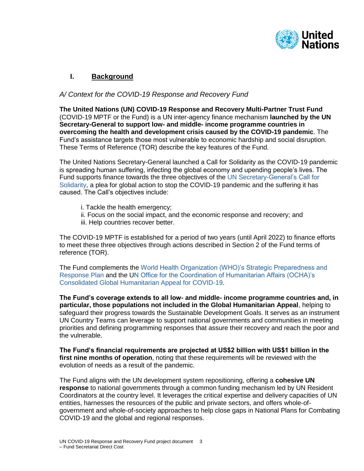

# **I. Background**

# *A/ Context for the COVID-19 Response and Recovery Fund*

**The United Nations (UN) COVID-19 Response and Recovery Multi-Partner Trust Fund**  (COVID-19 MPTF or the Fund) is a UN inter-agency finance mechanism **launched by the UN Secretary-General to support low- and middle- income programme countries in overcoming the health and development crisis caused by the COVID-19 pandemic**. The Fund's assistance targets those most vulnerable to economic hardship and social disruption. These Terms of Reference (TOR) describe the key features of the Fund.

The United Nations Secretary-General launched a Call for Solidarity as the COVID-19 pandemic is spreading human suffering, infecting the global economy and upending people's lives. The Fund supports finance towards the three objectives of the UN Secretary-General's Call for Solidarity, a plea for global action to stop the COVID-19 pandemic and the suffering it has caused. The Call's objectives include:

- i. Tackle the health emergency;
- ii. Focus on the social impact, and the economic response and recovery; and
- iii. Help countries recover better.

The COVID-19 MPTF is established for a period of two years (until April 2022) to finance efforts to meet these three objectives through actions described in Section 2 of the Fund terms of reference (TOR).

The Fund complements the World Health Organization (WHO)'s Strategic Preparedness and Response Plan and the UN Office for the Coordination of Humanitarian Affairs (OCHA)'s Consolidated Global Humanitarian Appeal for COVID-19.

**The Fund's coverage extends to all low- and middle- income programme countries and, in particular, those populations not included in the Global Humanitarian Appeal**, helping to safeguard their progress towards the Sustainable Development Goals. It serves as an instrument UN Country Teams can leverage to support national governments and communities in meeting priorities and defining programming responses that assure their recovery and reach the poor and the vulnerable.

**The Fund's financial requirements are projected at US\$2 billion with US\$1 billion in the first nine months of operation**, noting that these requirements will be reviewed with the evolution of needs as a result of the pandemic.

The Fund aligns with the UN development system repositioning, offering a **cohesive UN response** to national governments through a common funding mechanism led by UN Resident Coordinators at the country level. It leverages the critical expertise and delivery capacities of UN entities, harnesses the resources of the public and private sectors, and offers whole-ofgovernment and whole-of-society approaches to help close gaps in National Plans for Combating COVID-19 and the global and regional responses.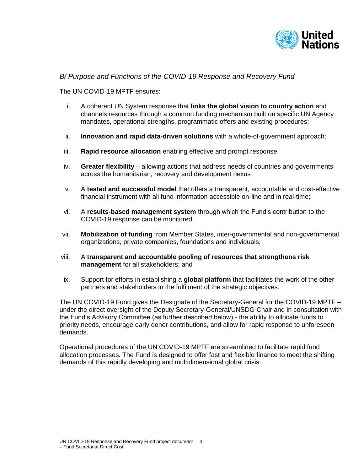

# *B/ Purpose and Functions of the COVID-19 Response and Recovery Fund*

The UN COVID-19 MPTF ensures:

- i. A coherent UN System response that **links the global vision to country action** and channels resources through a common funding mechanism built on specific UN Agency mandates, operational strengths, programmatic offers and existing procedures;
- ii. **Innovation and rapid data-driven solutions** with a whole-of-government approach;
- iii. **Rapid resource allocation** enabling effective and prompt response;
- iv. **Greater flexibility**  allowing actions that address needs of countries and governments across the humanitarian, recovery and development nexus
- v. A **tested and successful model** that offers a transparent, accountable and cost-effective financial instrument with all fund information accessible on-line and in real-time;
- vi. A **results-based management system** through which the Fund's contribution to the COVID-19 response can be monitored;
- vii. **Mobilization of funding** from Member States, inter-governmental and non-governmental organizations, private companies, foundations and individuals;
- viii. A **transparent and accountable pooling of resources that strengthens risk management** for all stakeholders; and
- ix. Support for efforts in establishing a **global platform** that facilitates the work of the other partners and stakeholders in the fulfilment of the strategic objectives.

The UN COVID-19 Fund gives the Designate of the Secretary-General for the COVID-19 MPTF – under the direct oversight of the Deputy Secretary-General/UNSDG Chair and in consultation with the Fund's Advisory Committee (as further described below) - the ability to allocate funds to priority needs, encourage early donor contributions, and allow for rapid response to unforeseen demands.

Operational procedures of the UN COVID-19 MPTF are streamlined to facilitate rapid fund allocation processes. The Fund is designed to offer fast and flexible finance to meet the shifting demands of this rapidly developing and multidimensional global crisis.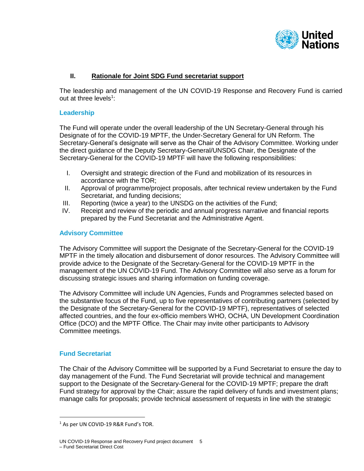

# **II. Rationale for Joint SDG Fund secretariat support**

The leadership and management of the UN COVID-19 Response and Recovery Fund is carried out at three levels<sup>1</sup>:

#### **Leadership**

The Fund will operate under the overall leadership of the UN Secretary-General through his Designate of for the COVID-19 MPTF, the Under-Secretary General for UN Reform. The Secretary-General's designate will serve as the Chair of the Advisory Committee. Working under the direct guidance of the Deputy Secretary-General/UNSDG Chair, the Designate of the Secretary-General for the COVID-19 MPTF will have the following responsibilities:

- I. Oversight and strategic direction of the Fund and mobilization of its resources in accordance with the TOR;
- II. Approval of programme/project proposals, after technical review undertaken by the Fund Secretariat, and funding decisions;
- III. Reporting (twice a year) to the UNSDG on the activities of the Fund;
- IV. Receipt and review of the periodic and annual progress narrative and financial reports prepared by the Fund Secretariat and the Administrative Agent.

#### **Advisory Committee**

The Advisory Committee will support the Designate of the Secretary-General for the COVID-19 MPTF in the timely allocation and disbursement of donor resources. The Advisory Committee will provide advice to the Designate of the Secretary-General for the COVID-19 MPTF in the management of the UN COVID-19 Fund. The Advisory Committee will also serve as a forum for discussing strategic issues and sharing information on funding coverage.

The Advisory Committee will include UN Agencies, Funds and Programmes selected based on the substantive focus of the Fund, up to five representatives of contributing partners (selected by the Designate of the Secretary-General for the COVID-19 MPTF), representatives of selected affected countries, and the four ex-officio members WHO, OCHA, UN Development Coordination Office (DCO) and the MPTF Office. The Chair may invite other participants to Advisory Committee meetings.

#### **Fund Secretariat**

 $\overline{a}$ 

The Chair of the Advisory Committee will be supported by a Fund Secretariat to ensure the day to day management of the Fund. The Fund Secretariat will provide technical and management support to the Designate of the Secretary-General for the COVID-19 MPTF; prepare the draft Fund strategy for approval by the Chair; assure the rapid delivery of funds and investment plans; manage calls for proposals; provide technical assessment of requests in line with the strategic

<sup>&</sup>lt;sup>1</sup> As per UN COVID-19 R&R Fund's TOR.

UN COVID-19 Response and Recovery Fund project document 5 – Fund Secretariat Direct Cost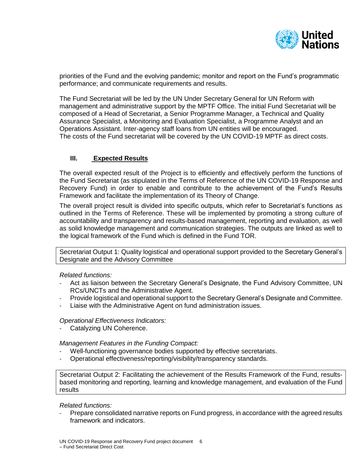

priorities of the Fund and the evolving pandemic; monitor and report on the Fund's programmatic performance; and communicate requirements and results.

The Fund Secretariat will be led by the UN Under Secretary General for UN Reform with management and administrative support by the MPTF Office. The initial Fund Secretariat will be composed of a Head of Secretariat, a Senior Programme Manager, a Technical and Quality Assurance Specialist, a Monitoring and Evaluation Specialist, a Programme Analyst and an Operations Assistant. Inter-agency staff loans from UN entities will be encouraged. The costs of the Fund secretariat will be covered by the UN COVID-19 MPTF as direct costs.

# **III. Expected Results**

The overall expected result of the Project is to efficiently and effectively perform the functions of the Fund Secretariat (as stipulated in the Terms of Reference of the UN COVID-19 Response and Recovery Fund) in order to enable and contribute to the achievement of the Fund's Results Framework and facilitate the implementation of its Theory of Change.

The overall project result is divided into specific outputs, which refer to Secretariat's functions as outlined in the Terms of Reference. These will be implemented by promoting a strong culture of accountability and transparency and results-based management, reporting and evaluation, as well as solid knowledge management and communication strategies. The outputs are linked as well to the logical framework of the Fund which is defined in the Fund TOR.

Secretariat Output 1: Quality logistical and operational support provided to the Secretary General's Designate and the Advisory Committee

*Related functions:* 

- Act as liaison between the Secretary General's Designate, the Fund Advisory Committee, UN RCs/UNCTs and the Administrative Agent.
- Provide logistical and operational support to the Secretary General's Designate and Committee.
- Liaise with the Administrative Agent on fund administration issues.

*Operational Effectiveness Indicators:*

Catalyzing UN Coherence.

*Management Features in the Funding Compact:*

- Well-functioning governance bodies supported by effective secretariats.
- Operational effectiveness/reporting/visibility/transparency standards.

Secretariat Output 2: Facilitating the achievement of the Results Framework of the Fund, resultsbased monitoring and reporting, learning and knowledge management, and evaluation of the Fund results

*Related functions:* 

- Prepare consolidated narrative reports on Fund progress, in accordance with the agreed results framework and indicators.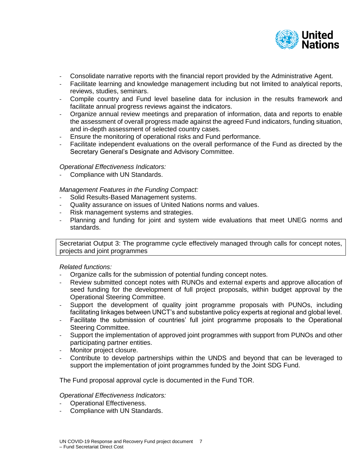

- Consolidate narrative reports with the financial report provided by the Administrative Agent.
- Facilitate learning and knowledge management including but not limited to analytical reports, reviews, studies, seminars.
- Compile country and Fund level baseline data for inclusion in the results framework and facilitate annual progress reviews against the indicators.
- Organize annual review meetings and preparation of information, data and reports to enable the assessment of overall progress made against the agreed Fund indicators, funding situation, and in-depth assessment of selected country cases.
- Ensure the monitoring of operational risks and Fund performance.
- Facilitate independent evaluations on the overall performance of the Fund as directed by the Secretary General's Designate and Advisory Committee.

### *Operational Effectiveness Indicators:*

Compliance with UN Standards.

### *Management Features in the Funding Compact:*

- Solid Results-Based Management systems.
- Quality assurance on issues of United Nations norms and values.
- Risk management systems and strategies.
- Planning and funding for joint and system wide evaluations that meet UNEG norms and standards.

Secretariat Output 3: The programme cycle effectively managed through calls for concept notes, projects and joint programmes

#### *Related functions:*

- Organize calls for the submission of potential funding concept notes.
- Review submitted concept notes with RUNOs and external experts and approve allocation of seed funding for the development of full project proposals, within budget approval by the Operational Steering Committee.
- Support the development of quality joint programme proposals with PUNOs, including facilitating linkages between UNCT's and substantive policy experts at regional and global level.
- Facilitate the submission of countries' full joint programme proposals to the Operational Steering Committee.
- Support the implementation of approved joint programmes with support from PUNOs and other participating partner entities.
- Monitor project closure.
- Contribute to develop partnerships within the UNDS and beyond that can be leveraged to support the implementation of joint programmes funded by the Joint SDG Fund.

The Fund proposal approval cycle is documented in the Fund TOR.

#### *Operational Effectiveness Indicators:*

- Operational Effectiveness.
- Compliance with UN Standards.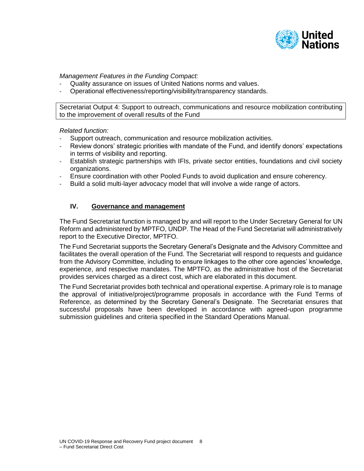

*Management Features in the Funding Compact:*

- Quality assurance on issues of United Nations norms and values.
- Operational effectiveness/reporting/visibility/transparency standards.

Secretariat Output 4: Support to outreach, communications and resource mobilization contributing to the improvement of overall results of the Fund

*Related function:* 

- Support outreach, communication and resource mobilization activities.
- Review donors' strategic priorities with mandate of the Fund, and identify donors' expectations in terms of visibility and reporting.
- Establish strategic partnerships with IFIs, private sector entities, foundations and civil society organizations.
- Ensure coordination with other Pooled Funds to avoid duplication and ensure coherency.
- Build a solid multi-layer advocacy model that will involve a wide range of actors.

# **IV. Governance and management**

The Fund Secretariat function is managed by and will report to the Under Secretary General for UN Reform and administered by MPTFO, UNDP. The Head of the Fund Secretariat will administratively report to the Executive Director, MPTFO.

The Fund Secretariat supports the Secretary General's Designate and the Advisory Committee and facilitates the overall operation of the Fund. The Secretariat will respond to requests and guidance from the Advisory Committee, including to ensure linkages to the other core agencies' knowledge, experience, and respective mandates. The MPTFO, as the administrative host of the Secretariat provides services charged as a direct cost, which are elaborated in this document.

The Fund Secretariat provides both technical and operational expertise. A primary role is to manage the approval of initiative/project/programme proposals in accordance with the Fund Terms of Reference, as determined by the Secretary General's Designate. The Secretariat ensures that successful proposals have been developed in accordance with agreed-upon programme submission guidelines and criteria specified in the Standard Operations Manual.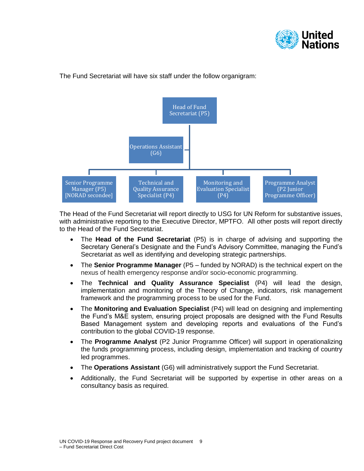



The Fund Secretariat will have six staff under the follow organigram:

The Head of the Fund Secretariat will report directly to USG for UN Reform for substantive issues, with administrative reporting to the Executive Director, MPTFO. All other posts will report directly to the Head of the Fund Secretariat.

- The **Head of the Fund Secretariat** (P5) is in charge of advising and supporting the Secretary General's Designate and the Fund's Advisory Committee, managing the Fund's Secretariat as well as identifying and developing strategic partnerships.
- The **Senior Programme Manager** (P5 funded by NORAD) is the technical expert on the nexus of health emergency response and/or socio-economic programming.
- The **Technical and Quality Assurance Specialist** (P4) will lead the design, implementation and monitoring of the Theory of Change, indicators, risk management framework and the programming process to be used for the Fund.
- The **Monitoring and Evaluation Specialist** (P4) will lead on designing and implementing the Fund's M&E system, ensuring project proposals are designed with the Fund Results Based Management system and developing reports and evaluations of the Fund's contribution to the global COVID-19 response.
- The **Programme Analyst** (P2 Junior Programme Officer) will support in operationalizing the funds programming process, including design, implementation and tracking of country led programmes.
- The **Operations Assistant** (G6) will administratively support the Fund Secretariat.
- Additionally, the Fund Secretariat will be supported by expertise in other areas on a consultancy basis as required.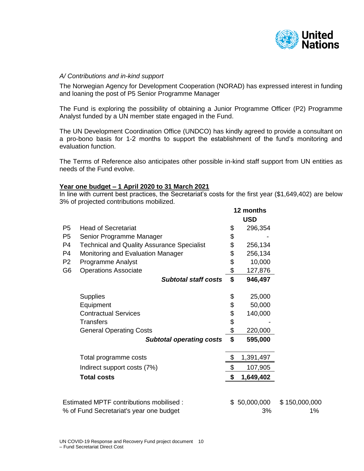

### *A/ Contributions and in-kind support*

The Norwegian Agency for Development Cooperation (NORAD) has expressed interest in funding and loaning the post of P5 Senior Programme Manager

The Fund is exploring the possibility of obtaining a Junior Programme Officer (P2) Programme Analyst funded by a UN member state engaged in the Fund.

The UN Development Coordination Office (UNDCO) has kindly agreed to provide a consultant on a pro-bono basis for 1-2 months to support the establishment of the fund's monitoring and evaluation function.

The Terms of Reference also anticipates other possible in-kind staff support from UN entities as needs of the Fund evolve.

#### **Year one budget – 1 April 2020 to 31 March 2021**

In line with current best practices, the Secretariat's costs for the first year (\$1,649,402) are below 3% of projected contributions mobilized.

**12 months**

|                                         |                                                   | <b>USD</b>            |            |               |
|-----------------------------------------|---------------------------------------------------|-----------------------|------------|---------------|
| P <sub>5</sub>                          | <b>Head of Secretariat</b>                        | \$                    | 296,354    |               |
| P <sub>5</sub>                          | Senior Programme Manager                          | \$                    |            |               |
| P4                                      | <b>Technical and Quality Assurance Specialist</b> | \$                    | 256,134    |               |
| P4                                      | Monitoring and Evaluation Manager                 | \$                    | 256,134    |               |
| P <sub>2</sub>                          | Programme Analyst                                 | \$                    | 10,000     |               |
| G6                                      | <b>Operations Associate</b>                       | \$                    | 127,876    |               |
|                                         | <b>Subtotal staff costs</b>                       | \$                    | 946,497    |               |
|                                         | <b>Supplies</b>                                   | \$                    | 25,000     |               |
|                                         | Equipment                                         | \$                    | 50,000     |               |
|                                         | <b>Contractual Services</b>                       | \$                    | 140,000    |               |
|                                         | <b>Transfers</b>                                  | \$                    |            |               |
|                                         | <b>General Operating Costs</b>                    | \$                    | 220,000    |               |
|                                         | <b>Subtotal operating costs</b>                   | \$                    | 595,000    |               |
|                                         | Total programme costs                             | \$                    | 1,391,497  |               |
|                                         | Indirect support costs (7%)                       | $\boldsymbol{\theta}$ | 107,905    |               |
|                                         | <b>Total costs</b>                                | \$                    | 1,649,402  |               |
|                                         |                                                   |                       |            |               |
| Estimated MPTF contributions mobilised: |                                                   | \$                    | 50,000,000 | \$150,000,000 |
|                                         | % of Fund Secretariat's year one budget           |                       | 3%         | 1%            |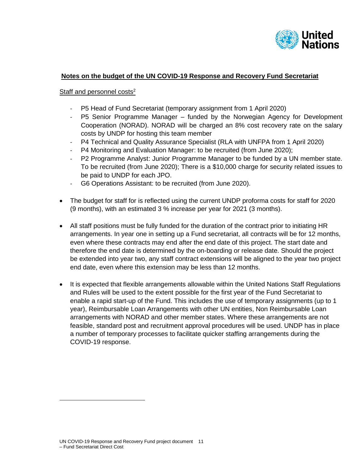

# **Notes on the budget of the UN COVID-19 Response and Recovery Fund Secretariat**

## Staff and personnel costs<sup>2</sup>

- P5 Head of Fund Secretariat (temporary assignment from 1 April 2020)
- P5 Senior Programme Manager funded by the Norwegian Agency for Development Cooperation (NORAD). NORAD will be charged an 8% cost recovery rate on the salary costs by UNDP for hosting this team member
- P4 Technical and Quality Assurance Specialist (RLA with UNFPA from 1 April 2020)
- P4 Monitoring and Evaluation Manager: to be recruited (from June 2020);
- P2 Programme Analyst: Junior Programme Manager to be funded by a UN member state. To be recruited (from June 2020); There is a \$10,000 charge for security related issues to be paid to UNDP for each JPO.
- G6 Operations Assistant: to be recruited (from June 2020).
- The budget for staff for is reflected using the current UNDP proforma costs for staff for 2020 (9 months), with an estimated 3 % increase per year for 2021 (3 months).
- All staff positions must be fully funded for the duration of the contract prior to initiating HR arrangements. In year one in setting up a Fund secretariat, all contracts will be for 12 months, even where these contracts may end after the end date of this project. The start date and therefore the end date is determined by the on-boarding or release date. Should the project be extended into year two, any staff contract extensions will be aligned to the year two project end date, even where this extension may be less than 12 months.
- It is expected that flexible arrangements allowable within the United Nations Staff Regulations and Rules will be used to the extent possible for the first year of the Fund Secretariat to enable a rapid start-up of the Fund. This includes the use of temporary assignments (up to 1 year), Reimbursable Loan Arrangements with other UN entities, Non Reimbursable Loan arrangements with NORAD and other member states. Where these arrangements are not feasible, standard post and recruitment approval procedures will be used. UNDP has in place a number of temporary processes to facilitate quicker staffing arrangements during the COVID-19 response.

 $\overline{a}$